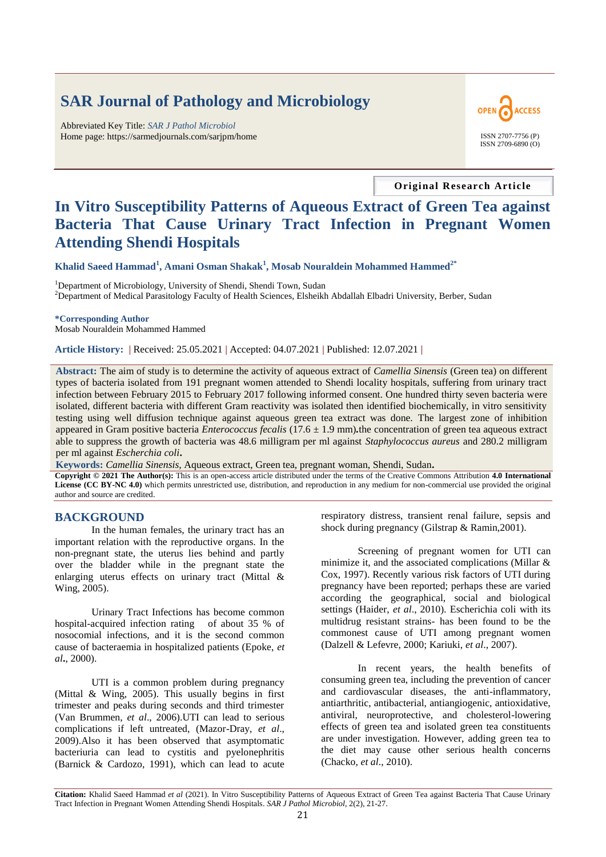# **SAR Journal of Pathology and Microbiology**

Abbreviated Key Title: *SAR J Pathol Microbiol* Home page: https://sarmedjournals.com/sarjpm/home ISSN 2707-7756 (P)



**Original Research Article**

# **In Vitro Susceptibility Patterns of Aqueous Extract of Green Tea against Bacteria That Cause Urinary Tract Infection in Pregnant Women Attending Shendi Hospitals**

**Khalid Saeed Hammad<sup>1</sup> , Amani Osman Shakak<sup>1</sup> , Mosab Nouraldein Mohammed Hammed2\***

<sup>1</sup>Department of Microbiology, University of Shendi, Shendi Town, Sudan <sup>2</sup>Department of Medical Parasitology Faculty of Health Sciences, Elsheikh Abdallah Elbadri University, Berber, Sudan

**\*Corresponding Author** Mosab Nouraldein Mohammed Hammed

**Article History: |** Received: 25.05.2021 **|** Accepted: 04.07.2021 **|** Published: 12.07.2021 **|**

**Abstract:** The aim of study is to determine the activity of aqueous extract of *Camellia Sinensis* (Green tea) on different types of bacteria isolated from 191 pregnant women attended to Shendi locality hospitals, suffering from urinary tract infection between February 2015 to February 2017 following informed consent. One hundred thirty seven bacteria were isolated, different bacteria with different Gram reactivity was isolated then identified biochemically, in vitro sensitivity testing using well diffusion technique against aqueous green tea extract was done. The largest zone of inhibition appeared in Gram positive bacteria *Enterococcus fecalis* (17.6 ± 1.9 mm)*.*the concentration of green tea aqueous extract able to suppress the growth of bacteria was 48.6 milligram per ml against *Staphylococcus aureus* and 280.2 milligram per ml against *Escherchia coli***.**

**Keywords:** *Camellia Sinensis,* Aqueous extract, Green tea, pregnant woman, Shendi, Sudan**.**

**Copyright © 2021 The Author(s):** This is an open-access article distributed under the terms of the Creative Commons Attribution **4.0 International License (CC BY-NC 4.0)** which permits unrestricted use, distribution, and reproduction in any medium for non-commercial use provided the original author and source are credited.

# **BACKGROUND**

In the human females, the urinary tract has an important relation with the reproductive organs. In the non-pregnant state, the uterus lies behind and partly over the bladder while in the pregnant state the enlarging uterus effects on urinary tract (Mittal & Wing, 2005).

Urinary Tract Infections has become common hospital-acquired infection rating of about 35 % of nosocomial infections, and it is the second common cause of bacteraemia in hospitalized patients (Epoke, *et al***.**, 2000).

UTI is a common problem during pregnancy (Mittal & Wing, 2005). This usually begins in first trimester and peaks during seconds and third trimester (Van Brummen, *et al*., 2006).UTI can lead to serious complications if left untreated, (Mazor-Dray, *et al*., 2009).Also it has been observed that asymptomatic bacteriuria can lead to cystitis and pyelonephritis (Barnick & Cardozo, 1991), which can lead to acute respiratory distress, transient renal failure, sepsis and shock during pregnancy (Gilstrap & Ramin,2001).

Screening of pregnant women for UTI can minimize it, and the associated complications (Millar & Cox, 1997). Recently various risk factors of UTI during pregnancy have been reported; perhaps these are varied according the geographical, social and biological settings (Haider, *et al*., 2010). Escherichia coli with its multidrug resistant strains- has been found to be the commonest cause of UTI among pregnant women (Dalzell & Lefevre, 2000; Kariuki, *et al*., 2007).

In recent years, the health benefits of consuming green tea, including the prevention of cancer and cardiovascular diseases, the anti-inflammatory, antiarthritic, antibacterial, antiangiogenic, antioxidative, antiviral, neuroprotective, and cholesterol-lowering effects of green tea and isolated green tea constituents are under investigation. However, adding green tea to the diet may cause other serious health concerns (Chacko, *et al*., 2010).

**Citation:** Khalid Saeed Hammad *et al* (2021). In Vitro Susceptibility Patterns of Aqueous Extract of Green Tea against Bacteria That Cause Urinary Tract Infection in Pregnant Women Attending Shendi Hospitals. *SAR J Pathol Microbiol*, 2(2), 21-27.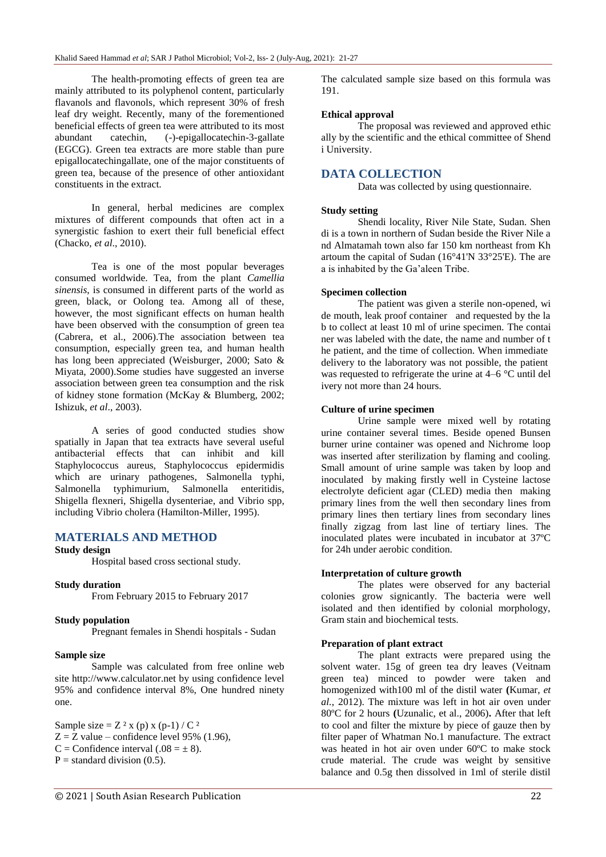The health-promoting effects of green tea are mainly attributed to its polyphenol content, particularly flavanols and flavonols, which represent 30% of fresh leaf dry weight. Recently, many of the forementioned beneficial effects of green tea were attributed to its most abundant catechin, (-)-epigallocatechin-3-gallate (EGCG). Green tea extracts are more stable than pure epigallocatechingallate, one of the major constituents of green tea, because of the presence of other antioxidant constituents in the extract.

In general, herbal medicines are complex mixtures of different compounds that often act in a synergistic fashion to exert their full beneficial effect (Chacko, *et al*., 2010).

Tea is one of the most popular beverages consumed worldwide. Tea, from the plant *Camellia sinensis*, is consumed in different parts of the world as green, black, or Oolong tea. Among all of these, however, the most significant effects on human health have been observed with the consumption of green tea (Cabrera, et al., 2006).The association between tea consumption, especially green tea, and human health has long been appreciated (Weisburger, 2000; Sato & Miyata, 2000).Some studies have suggested an inverse association between green tea consumption and the risk of kidney stone formation (McKay & Blumberg, 2002; Ishizuk, *et al*., 2003).

A series of good conducted studies show spatially in Japan that tea extracts have several useful antibacterial effects that can inhibit and kill Staphylococcus aureus, Staphylococcus epidermidis which are urinary pathogenes, Salmonella typhi, Salmonella typhimurium, Salmonella enteritidis, Shigella flexneri, Shigella dysenteriae, and Vibrio spp, including Vibrio cholera (Hamilton-Miller, 1995).

# **MATERIALS AND METHOD**

## **Study design**

Hospital based cross sectional study.

#### **Study duration**

From February 2015 to February 2017

#### **Study population**

Pregnant females in Shendi hospitals - Sudan

#### **Sample size**

Sample was calculated from free online web site http://www.calculator.net by using confidence level 95% and confidence interval 8%, One hundred ninety one.

Sample size  $= Z^2$  x (p) x (p-1) / C<sup>2</sup>  $Z = Z$  value – confidence level 95% (1.96), C = Confidence interval  $(.08 = \pm 8)$ .  $P =$  standard division (0.5).

The calculated sample size based on this formula was 191.

## **Ethical approval**

The proposal was reviewed and approved ethic ally by the scientific and the ethical committee of Shend i University.

# **DATA COLLECTION**

Data was collected by using questionnaire.

## **Study setting**

Shendi locality, River Nile State, Sudan. Shen di is a town in northern of Sudan beside the River Nile a nd Almatamah town also far 150 km northeast from Kh artoum the capital of Sudan (16°41'N 33°25'E). The are a is inhabited by the Ga'aleen Tribe.

## **Specimen collection**

The patient was given a sterile non-opened, wi de mouth, leak proof container and requested by the la b to collect at least 10 ml of urine specimen. The contai ner was labeled with the date, the name and number of t he patient, and the time of collection. When immediate delivery to the laboratory was not possible, the patient was requested to refrigerate the urine at 4–6 °C until del ivery not more than 24 hours.

#### **Culture of urine specimen**

Urine sample were mixed well by rotating urine container several times. Beside opened Bunsen burner urine container was opened and Nichrome loop was inserted after sterilization by flaming and cooling. Small amount of urine sample was taken by loop and inoculated by making firstly well in Cysteine lactose electrolyte deficient agar (CLED) media then making primary lines from the well then secondary lines from primary lines then tertiary lines from secondary lines finally zigzag from last line of tertiary lines. The inoculated plates were incubated in incubator at 37ºC for 24h under aerobic condition.

#### **Interpretation of culture growth**

The plates were observed for any bacterial colonies grow signicantly. The bacteria were well isolated and then identified by colonial morphology, Gram stain and biochemical tests.

## **Preparation of plant extract**

The plant extracts were prepared using the solvent water. 15g of green tea dry leaves (Veitnam green tea) minced to powder were taken and homogenized with100 ml of the distil water **(**Kumar, *et al.*, 2012). The mixture was left in hot air oven under 80ºC for 2 hours **(**Uzunalic, et al., 2006)**.** After that left to cool and filter the mixture by piece of gauze then by filter paper of Whatman No.1 manufacture. The extract was heated in hot air oven under 60ºC to make stock crude material. The crude was weight by sensitive balance and 0.5g then dissolved in 1ml of sterile distil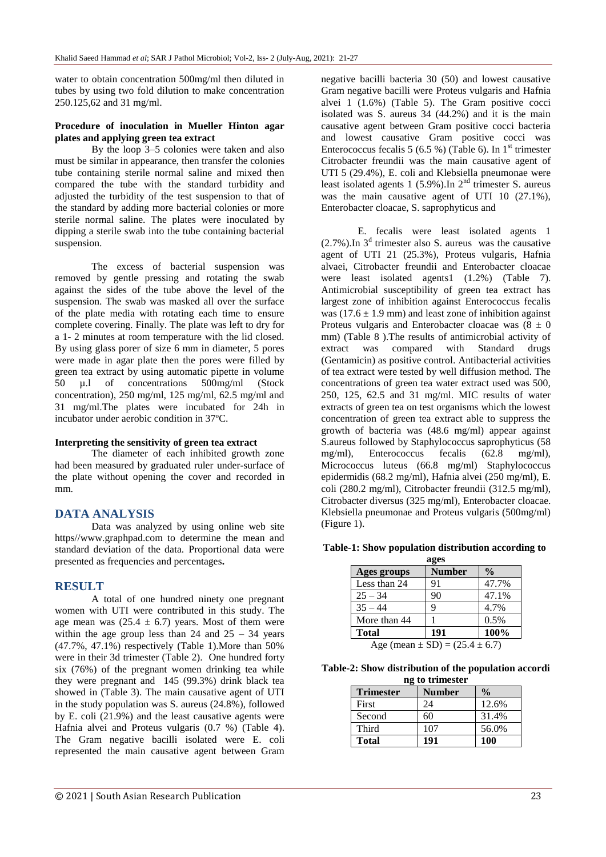water to obtain concentration 500mg/ml then diluted in tubes by using two fold dilution to make concentration 250.125,62 and 31 mg/ml.

## **Procedure of inoculation in Mueller Hinton agar plates and applying green tea extract**

By the loop 3–5 colonies were taken and also must be similar in appearance, then transfer the colonies tube containing sterile normal saline and mixed then compared the tube with the standard turbidity and adjusted the turbidity of the test suspension to that of the standard by adding more bacterial colonies or more sterile normal saline. The plates were inoculated by dipping a sterile swab into the tube containing bacterial suspension.

The excess of bacterial suspension was removed by gentle pressing and rotating the swab against the sides of the tube above the level of the suspension. The swab was masked all over the surface of the plate media with rotating each time to ensure complete covering. Finally. The plate was left to dry for a 1- 2 minutes at room temperature with the lid closed. By using glass porer of size 6 mm in diameter, 5 pores were made in agar plate then the pores were filled by green tea extract by using automatic pipette in volume 50 µ.l of concentrations 500mg/ml (Stock concentration), 250 mg/ml, 125 mg/ml, 62.5 mg/ml and 31 mg/ml.The plates were incubated for 24h in incubator under aerobic condition in 37ºC.

## **Interpreting the sensitivity of green tea extract**

The diameter of each inhibited growth zone had been measured by graduated ruler under-surface of the plate without opening the cover and recorded in mm.

# **DATA ANALYSIS**

Data was analyzed by using online web site https//www.graphpad.com to determine the mean and standard deviation of the data. Proportional data were presented as frequencies and percentages**.**

# **RESULT**

A total of one hundred ninety one pregnant women with UTI were contributed in this study. The age mean was  $(25.4 \pm 6.7)$  years. Most of them were within the age group less than 24 and  $25 - 34$  years (47.7%, 47.1%) respectively (Table 1).More than 50% were in their 3d trimester (Table 2). One hundred forty six (76%) of the pregnant women drinking tea while they were pregnant and 145 (99.3%) drink black tea showed in (Table 3). The main causative agent of UTI in the study population was S. aureus (24.8%), followed by E. coli (21.9%) and the least causative agents were Hafnia alvei and Proteus vulgaris (0.7 %) (Table 4). The Gram negative bacilli isolated were E. coli represented the main causative agent between Gram

negative bacilli bacteria 30 (50) and lowest causative Gram negative bacilli were Proteus vulgaris and Hafnia alvei 1 (1.6%) (Table 5). The Gram positive cocci isolated was S. aureus 34 (44.2%) and it is the main causative agent between Gram positive cocci bacteria and lowest causative Gram positive cocci was Enterococcus fecalis 5 (6.5 %) (Table 6). In  $1<sup>st</sup>$  trimester Citrobacter freundii was the main causative agent of UTI 5 (29.4%), E. coli and Klebsiella pneumonae were least isolated agents 1 (5.9%).In  $2<sup>nd</sup>$  trimester S. aureus was the main causative agent of UTI 10 (27.1%), Enterobacter cloacae, S. saprophyticus and

E. fecalis were least isolated agents 1  $(2.7\%)$ . In  $3<sup>d</sup>$  trimester also S. aureus was the causative agent of UTI 21 (25.3%), Proteus vulgaris, Hafnia alvaei, Citrobacter freundii and Enterobacter cloacae were least isolated agents1 (1.2%) (Table 7). Antimicrobial susceptibility of green tea extract has largest zone of inhibition against Enterococcus fecalis was ( $17.6 \pm 1.9$  mm) and least zone of inhibition against Proteus vulgaris and Enterobacter cloacae was  $(8 \pm 0)$ mm) (Table 8 ).The results of antimicrobial activity of extract was compared with Standard drugs (Gentamicin) as positive control. Antibacterial activities of tea extract were tested by well diffusion method. The concentrations of green tea water extract used was 500, 250, 125, 62.5 and 31 mg/ml. MIC results of water extracts of green tea on test organisms which the lowest concentration of green tea extract able to suppress the growth of bacteria was (48.6 mg/ml) appear against S.aureus followed by Staphylococcus saprophyticus (58 mg/ml), Enterococcus fecalis (62.8 mg/ml), Micrococcus luteus (66.8 mg/ml) Staphylococcus epidermidis (68.2 mg/ml), Hafnia alvei (250 mg/ml), E. coli (280.2 mg/ml), Citrobacter freundii (312.5 mg/ml), Citrobacter diversus (325 mg/ml), Enterobacter cloacae. Klebsiella pneumonae and Proteus vulgaris (500mg/ml) (Figure 1).

## **Table-1: Show population distribution according to**

| ages                                                        |               |               |  |  |
|-------------------------------------------------------------|---------------|---------------|--|--|
| Ages groups                                                 | <b>Number</b> | $\frac{0}{0}$ |  |  |
| Less than 24                                                | 91            | 47.7%         |  |  |
| $25 - 34$                                                   | 90            | 47.1%         |  |  |
| $35 - 44$                                                   | q             | 4.7%          |  |  |
| More than 44                                                |               | 0.5%          |  |  |
| <b>Total</b>                                                | 191           | 100%          |  |  |
| $\Lambda_{\alpha\alpha}$ (moon $\pm$ SD) – (25.4 $\pm$ 6.7) |               |               |  |  |

Age (mean  $\pm$  SD) = (25.4  $\pm$  6.7)

**Table-2: Show distribution of the population accordi ng to trimester**

| <b>Trimester</b> | <b>Number</b> | $\frac{0}{0}$ |
|------------------|---------------|---------------|
| First            | 24            | 12.6%         |
| Second           | 60            | 31.4%         |
| Third            | 107           | 56.0%         |
| <b>Total</b>     | 191           | 100           |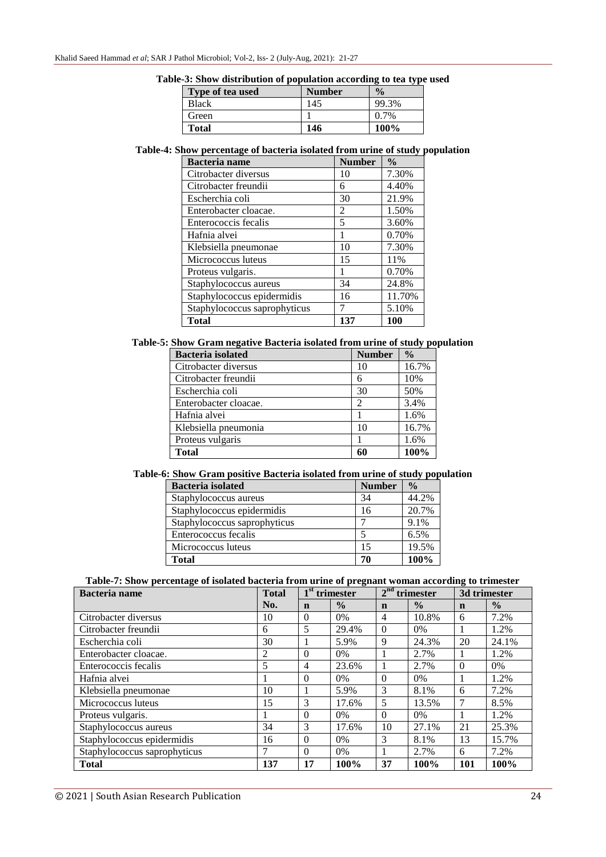| Table-3: Show distribution of population according to tea type used |  |  |  |  |  |  |  |
|---------------------------------------------------------------------|--|--|--|--|--|--|--|
|---------------------------------------------------------------------|--|--|--|--|--|--|--|

| Type of tea used | <b>Number</b> | $\frac{0}{2}$ |
|------------------|---------------|---------------|
| <b>Black</b>     | 145           | 99.3%         |
| Green            |               | $0.7\%$       |
| <b>Total</b>     | 146           | 100%          |

## **Table-4: Show percentage of bacteria isolated from urine of study population**

| <b>Bacteria</b> name         | <b>Number</b>            | $\frac{0}{0}$ |
|------------------------------|--------------------------|---------------|
| Citrobacter diversus         | 10                       | 7.30%         |
| Citrobacter freundii         | 6                        | 4.40%         |
| Escherchia coli              | 30                       | 21.9%         |
| Enterobacter cloacae.        | 2                        | 1.50%         |
| Enterococcis fecalis         | $\overline{\phantom{0}}$ | 3.60%         |
| Hafnia alvei                 |                          | 0.70%         |
| Klebsiella pneumonae         | 10                       | 7.30%         |
| Micrococcus luteus           | 15                       | 11%           |
| Proteus vulgaris.            |                          | 0.70%         |
| Staphylococcus aureus        | 34                       | 24.8%         |
| Staphylococcus epidermidis   | 16                       | 11.70%        |
| Staphylococcus saprophyticus |                          | 5.10%         |
| Total                        | 137                      | 100           |

## **Table-5: Show Gram negative Bacteria isolated from urine of study population**

| <b>Bacteria</b> isolated | <b>Number</b>               | $\frac{0}{0}$ |
|--------------------------|-----------------------------|---------------|
| Citrobacter diversus     | 10                          | 16.7%         |
| Citrobacter freundii     | 6                           | 10%           |
| Escherchia coli          | 30                          | 50%           |
| Enterobacter cloacae.    | $\mathcal{D}_{\mathcal{A}}$ | 3.4%          |
| Hafnia alvei             |                             | 1.6%          |
| Klebsiella pneumonia     | 10                          | 16.7%         |
| Proteus vulgaris         |                             | 1.6%          |
| <b>Total</b>             | 60                          | 100%          |

## **Table-6: Show Gram positive Bacteria isolated from urine of study population**

| <b>Bacteria</b> isolated     | <b>Number</b> | . .<br>$\frac{0}{0}$ |
|------------------------------|---------------|----------------------|
| Staphylococcus aureus        | 34            | 44.2%                |
| Staphylococcus epidermidis   | 16            | 20.7%                |
| Staphylococcus saprophyticus |               | 9.1%                 |
| Enterococcus fecalis         |               | 6.5%                 |
| Micrococcus luteus           | 15            | 19.5%                |
| Total                        | 70            | 100%                 |

# **Table-7: Show percentage of isolated bacteria from urine of pregnant woman according to trimester**

| <b>Bacteria</b> name         | <b>Total</b> | $1st$ trimester |               | $2nd$ trimester |               | 3d trimester |               |
|------------------------------|--------------|-----------------|---------------|-----------------|---------------|--------------|---------------|
|                              | No.          | n               | $\frac{0}{0}$ | $\mathbf n$     | $\frac{0}{0}$ | n            | $\frac{0}{0}$ |
| Citrobacter diversus         | 10           | $\Omega$        | $0\%$         | $\overline{4}$  | 10.8%         | 6            | 7.2%          |
| Citrobacter freundii         | 6            | 5               | 29.4%         | $\theta$        | 0%            |              | 1.2%          |
| Escherchia coli              | 30           |                 | 5.9%          | 9               | 24.3%         | 20           | 24.1%         |
| Enterobacter cloacae.        | 2            | $\Omega$        | $0\%$         |                 | 2.7%          |              | 1.2%          |
| Enterococcis fecalis         | 5            | 4               | 23.6%         |                 | 2.7%          | $\Omega$     | 0%            |
| Hafnia alvei                 |              | $\Omega$        | $0\%$         | $\theta$        | 0%            |              | 1.2%          |
| Klebsiella pneumonae         | 10           |                 | 5.9%          | 3               | 8.1%          | 6            | 7.2%          |
| Micrococcus luteus           | 15           | 3               | 17.6%         | 5               | 13.5%         |              | 8.5%          |
| Proteus vulgaris.            |              | $\Omega$        | $0\%$         | $\Omega$        | $0\%$         |              | 1.2%          |
| Staphylococcus aureus        | 34           | 3               | 17.6%         | 10              | 27.1%         | 21           | 25.3%         |
| Staphylococcus epidermidis   | 16           | $\Omega$        | $0\%$         | 3               | 8.1%          | 13           | 15.7%         |
| Staphylococcus saprophyticus | 7            | $\Omega$        | 0%            |                 | 2.7%          | 6            | 7.2%          |
| <b>Total</b>                 | 137          | 17              | 100%          | 37              | 100%          | 101          | 100%          |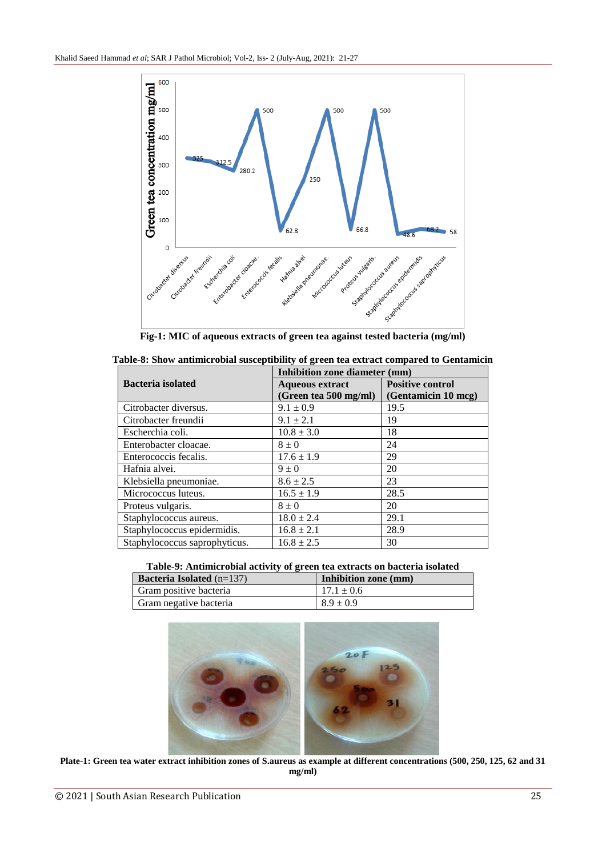

| Table-8: Show antimicrobial susceptibility of green tea extract compared to Gentamicin |  |  |  |
|----------------------------------------------------------------------------------------|--|--|--|
|                                                                                        |  |  |  |

|                               | Inhibition zone diameter (mm) |                         |  |
|-------------------------------|-------------------------------|-------------------------|--|
| <b>Bacteria</b> isolated      | <b>Aqueous extract</b>        | <b>Positive control</b> |  |
|                               | (Green tea 500 mg/ml)         | (Gentamicin 10 mcg)     |  |
| Citrobacter diversus.         | $9.1 \pm 0.9$                 | 19.5                    |  |
| Citrobacter freundii          | $9.1 \pm 2.1$                 | 19                      |  |
| Escherchia coli.              | $10.8 \pm 3.0$                | 18                      |  |
| Enterobacter cloacae.         | $8 \pm 0$                     | 24                      |  |
| Enterococcis fecalis.         | $17.6 \pm 1.9$                | 29                      |  |
| Hafnia alvei.                 | $9 \pm 0$                     | 20                      |  |
| Klebsiella pneumoniae.        | $8.6 \pm 2.5$                 | 23                      |  |
| Micrococcus luteus.           | $16.5 \pm 1.9$                | 28.5                    |  |
| Proteus vulgaris.             | $8 \pm 0$                     | 20                      |  |
| Staphylococcus aureus.        | $18.0 \pm 2.4$                | 29.1                    |  |
| Staphylococcus epidermidis.   | $16.8 \pm 2.1$                | 28.9                    |  |
| Staphylococcus saprophyticus. | $16.8 \pm 2.5$                | 30                      |  |

## **Table-9: Antimicrobial activity of green tea extracts on bacteria isolated**

| <b>Bacteria Isolated</b> $(n=137)$ | Inhibition zone (mm) |
|------------------------------------|----------------------|
| Gram positive bacteria             | $17.1 \pm 0.6$       |
| Gram negative bacteria             | $8.9 \pm 0.9$        |



**Plate-1: Green tea water extract inhibition zones of S.aureus as example at different concentrations (500, 250, 125, 62 and 31 mg/ml)**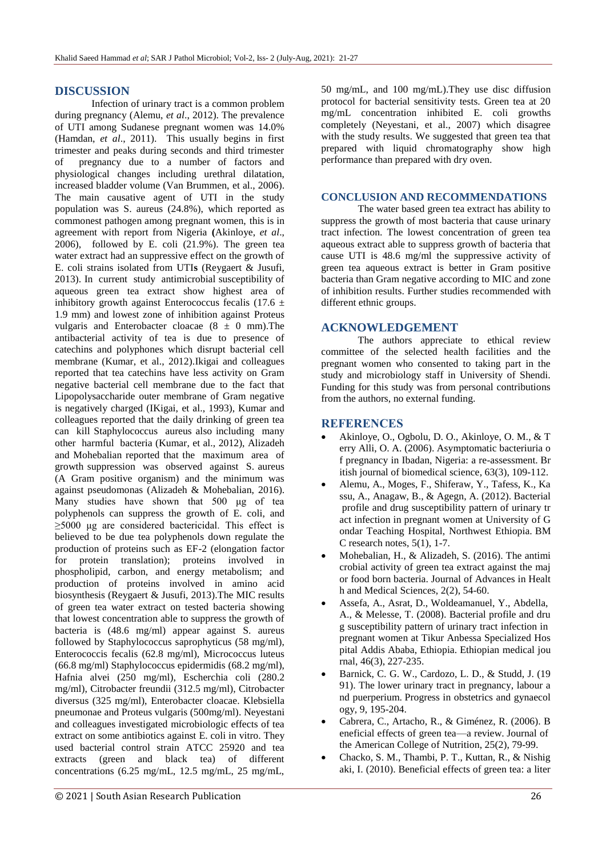# **DISCUSSION**

Infection of urinary tract is a common problem during pregnancy (Alemu, *et al*., 2012). The prevalence of UTI among Sudanese pregnant women was 14.0% (Hamdan, *et al*., 2011). This usually begins in first trimester and peaks during seconds and third trimester of pregnancy due to a number of factors and physiological changes including urethral dilatation, increased bladder volume (Van Brummen, et al., 2006). The main causative agent of UTI in the study population was S. aureus (24.8%), which reported as commonest pathogen among pregnant women, this is in agreement with report from Nigeria **(**Akinloye, *et al*., 2006), followed by E. coli (21.9%). The green tea water extract had an suppressive effect on the growth of E. coli strains isolated from UTI**s** (Reygaert & Jusufi, 2013). In current study antimicrobial susceptibility of aqueous green tea extract show highest area of inhibitory growth against Enterococcus fecalis (17.6  $\pm$ 1.9 mm) and lowest zone of inhibition against Proteus vulgaris and Enterobacter cloacae  $(8 \pm 0 \text{ mm})$ . The antibacterial activity of tea is due to presence of catechins and polyphones which disrupt bacterial cell membrane (Kumar, et al., 2012).Ikigai and colleagues reported that tea catechins have less activity on Gram negative bacterial cell membrane due to the fact that Lipopolysaccharide outer membrane of Gram negative is negatively charged (IKigai, et al., 1993), Kumar and colleagues reported that the daily drinking of green tea can kill Staphylococcus aureus also including many other harmful bacteria (Kumar, et al., 2012), Alizadeh and Mohebalian reported that the maximum area of growth suppression was observed against S. aureus (A Gram positive organism) and the minimum was against pseudomonas (Alizadeh & Mohebalian, 2016). Many studies have shown that 500 μg of tea polyphenols can suppress the growth of E. coli, and  $\geq$ 5000 μg are considered bactericidal. This effect is believed to be due tea polyphenols down regulate the production of proteins such as EF-2 (elongation factor for protein translation); proteins involved in phospholipid, carbon, and energy metabolism; and production of proteins involved in amino acid biosynthesis (Reygaert & Jusufi, 2013).The MIC results of green tea water extract on tested bacteria showing that lowest concentration able to suppress the growth of bacteria is (48.6 mg/ml) appear against S. aureus followed by Staphylococcus saprophyticus (58 mg/ml), Enterococcis fecalis (62.8 mg/ml), Micrococcus luteus (66.8 mg/ml) Staphylococcus epidermidis (68.2 mg/ml), Hafnia alvei (250 mg/ml), Escherchia coli (280.2 mg/ml), Citrobacter freundii (312.5 mg/ml), Citrobacter diversus (325 mg/ml), Enterobacter cloacae. Klebsiella pneumonae and Proteus vulgaris (500mg/ml). Neyestani and colleagues investigated microbiologic effects of tea extract on some antibiotics against E. coli in vitro. They used bacterial control strain ATCC 25920 and tea extracts (green and black tea) of different concentrations (6.25 mg/mL, 12.5 mg/mL, 25 mg/mL,

50 mg/mL, and 100 mg/mL).They use disc diffusion protocol for bacterial sensitivity tests. Green tea at 20 mg/mL concentration inhibited E. coli growths completely (Neyestani, et al., 2007) which disagree with the study results. We suggested that green tea that prepared with liquid chromatography show high performance than prepared with dry oven.

#### **CONCLUSION AND RECOMMENDATIONS**

The water based green tea extract has ability to suppress the growth of most bacteria that cause urinary tract infection. The lowest concentration of green tea aqueous extract able to suppress growth of bacteria that cause UTI is 48.6 mg/ml the suppressive activity of green tea aqueous extract is better in Gram positive bacteria than Gram negative according to MIC and zone of inhibition results. Further studies recommended with different ethnic groups.

## **ACKNOWLEDGEMENT**

The authors appreciate to ethical review committee of the selected health facilities and the pregnant women who consented to taking part in the study and microbiology staff in University of Shendi. Funding for this study was from personal contributions from the authors, no external funding.

# **REFERENCES**

- Akinloye, O., Ogbolu, D. O., Akinloye, O. M., & T erry Alli, O. A. (2006). Asymptomatic bacteriuria o f pregnancy in Ibadan, Nigeria: a re-assessment. Br itish journal of biomedical science, 63(3), 109-112.
- Alemu, A., Moges, F., Shiferaw, Y., Tafess, K., Ka ssu, A., Anagaw, B., & Agegn, A. (2012). Bacterial profile and drug susceptibility pattern of urinary tr act infection in pregnant women at University of G ondar Teaching Hospital, Northwest Ethiopia. BM C research notes, 5(1), 1-7.
- Mohebalian, H., & Alizadeh, S. (2016). The antimi crobial activity of green tea extract against the maj or food born bacteria. Journal of Advances in Healt h and Medical Sciences, 2(2), 54-60.
- Assefa, A., Asrat, D., Woldeamanuel, Y., Abdella, A., & Melesse, T. (2008). Bacterial profile and dru g susceptibility pattern of urinary tract infection in pregnant women at Tikur Anbessa Specialized Hos pital Addis Ababa, Ethiopia. Ethiopian medical jou rnal, 46(3), 227-235.
- Barnick, C. G. W., Cardozo, L. D., & Studd, J. (19 91). The lower urinary tract in pregnancy, labour a nd puerperium. Progress in obstetrics and gynaecol ogy, 9, 195-204.
- Cabrera, C., Artacho, R., & Giménez, R. (2006). B eneficial effects of green tea—a review. Journal of the American College of Nutrition, 25(2), 79-99.
- Chacko, S. M., Thambi, P. T., Kuttan, R., & Nishig aki, I. (2010). Beneficial effects of green tea: a liter